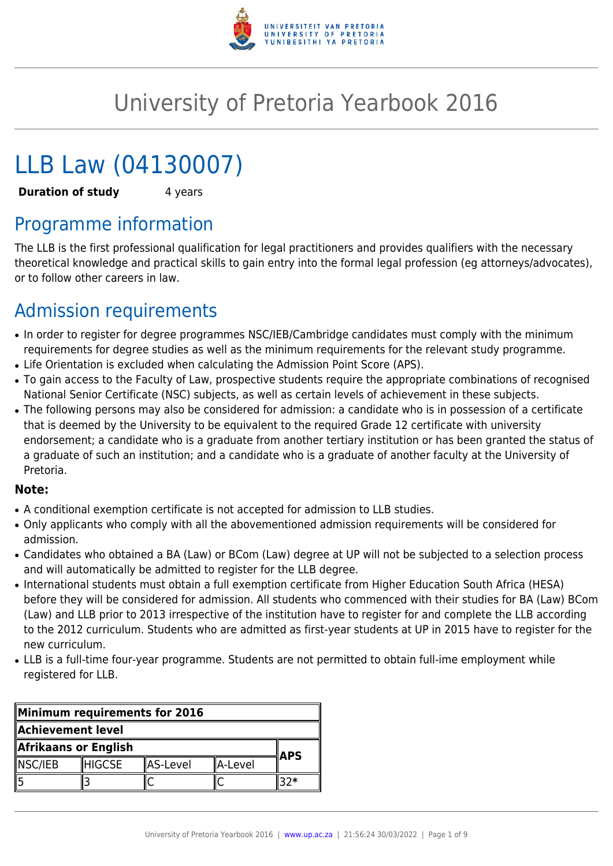

# University of Pretoria Yearbook 2016

# LLB Law (04130007)

**Duration of study** 4 years

# Programme information

The LLB is the first professional qualification for legal practitioners and provides qualifiers with the necessary theoretical knowledge and practical skills to gain entry into the formal legal profession (eg attorneys/advocates), or to follow other careers in law.

# Admission requirements

- In order to register for degree programmes NSC/IEB/Cambridge candidates must comply with the minimum requirements for degree studies as well as the minimum requirements for the relevant study programme.
- Life Orientation is excluded when calculating the Admission Point Score (APS).
- To gain access to the Faculty of Law, prospective students require the appropriate combinations of recognised National Senior Certificate (NSC) subjects, as well as certain levels of achievement in these subjects.
- The following persons may also be considered for admission: a candidate who is in possession of a certificate that is deemed by the University to be equivalent to the required Grade 12 certificate with university endorsement; a candidate who is a graduate from another tertiary institution or has been granted the status of a graduate of such an institution; and a candidate who is a graduate of another faculty at the University of Pretoria.

#### **Note:**

- A conditional exemption certificate is not accepted for admission to LLB studies.
- Only applicants who comply with all the abovementioned admission requirements will be considered for admission.
- Candidates who obtained a BA (Law) or BCom (Law) degree at UP will not be subjected to a selection process and will automatically be admitted to register for the LLB degree.
- International students must obtain a full exemption certificate from Higher Education South Africa (HESA) before they will be considered for admission. All students who commenced with their studies for BA (Law) BCom (Law) and LLB prior to 2013 irrespective of the institution have to register for and complete the LLB according to the 2012 curriculum. Students who are admitted as first-year students at UP in 2015 have to register for the new curriculum.
- LLB is a full-time four-year programme. Students are not permitted to obtain full-ime employment while registered for LLB.

| Minimum requirements for 2016 |         |                 |            |  |
|-------------------------------|---------|-----------------|------------|--|
| Achievement level             |         |                 |            |  |
| Afrikaans or English          |         |                 | <b>APS</b> |  |
| NSC/IEB                       | IHIGCSE | <b>AS-Level</b> | ∥A-Level   |  |
|                               |         |                 |            |  |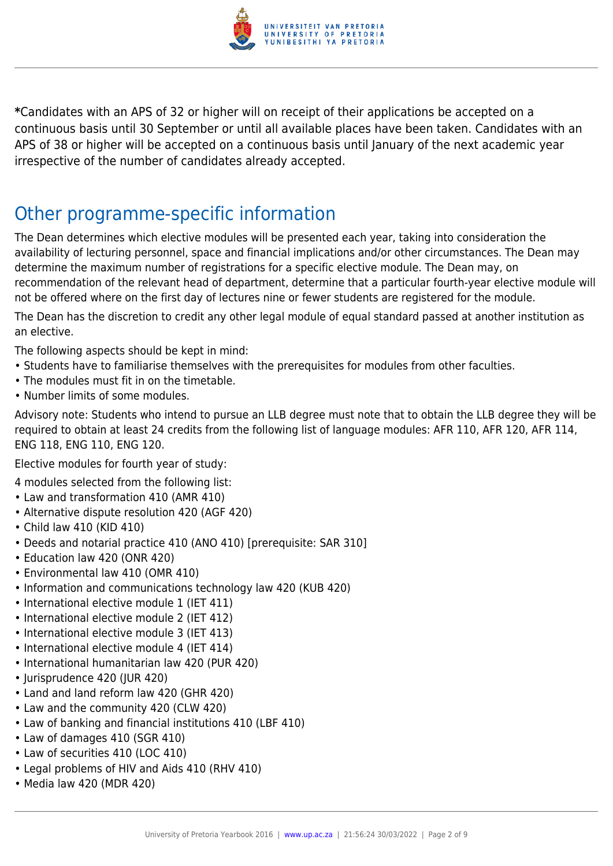

**\***Candidates with an APS of 32 or higher will on receipt of their applications be accepted on a continuous basis until 30 September or until all available places have been taken. Candidates with an APS of 38 or higher will be accepted on a continuous basis until January of the next academic year irrespective of the number of candidates already accepted.

## Other programme-specific information

The Dean determines which elective modules will be presented each year, taking into consideration the availability of lecturing personnel, space and financial implications and/or other circumstances. The Dean may determine the maximum number of registrations for a specific elective module. The Dean may, on recommendation of the relevant head of department, determine that a particular fourth-year elective module will not be offered where on the first day of lectures nine or fewer students are registered for the module.

The Dean has the discretion to credit any other legal module of equal standard passed at another institution as an elective.

The following aspects should be kept in mind:

- Students have to familiarise themselves with the prerequisites for modules from other faculties.
- The modules must fit in on the timetable.
- Number limits of some modules.

Advisory note: Students who intend to pursue an LLB degree must note that to obtain the LLB degree they will be required to obtain at least 24 credits from the following list of language modules: AFR 110, AFR 120, AFR 114, ENG 118, ENG 110, ENG 120.

Elective modules for fourth year of study:

4 modules selected from the following list:

- Law and transformation 410 (AMR 410)
- Alternative dispute resolution 420 (AGF 420)
- Child law 410 (KID 410)
- Deeds and notarial practice 410 (ANO 410) [prerequisite: SAR 310]
- Education law 420 (ONR 420)
- Environmental law 410 (OMR 410)
- Information and communications technology law 420 (KUB 420)
- International elective module 1 (IET 411)
- International elective module 2 (IET 412)
- International elective module 3 (IET 413)
- International elective module 4 (IET 414)
- International humanitarian law 420 (PUR 420)
- Jurisprudence 420 (JUR 420)
- Land and land reform law 420 (GHR 420)
- Law and the community 420 (CLW 420)
- Law of banking and financial institutions 410 (LBF 410)
- Law of damages 410 (SGR 410)
- Law of securities 410 (LOC 410)
- Legal problems of HIV and Aids 410 (RHV 410)
- Media law 420 (MDR 420)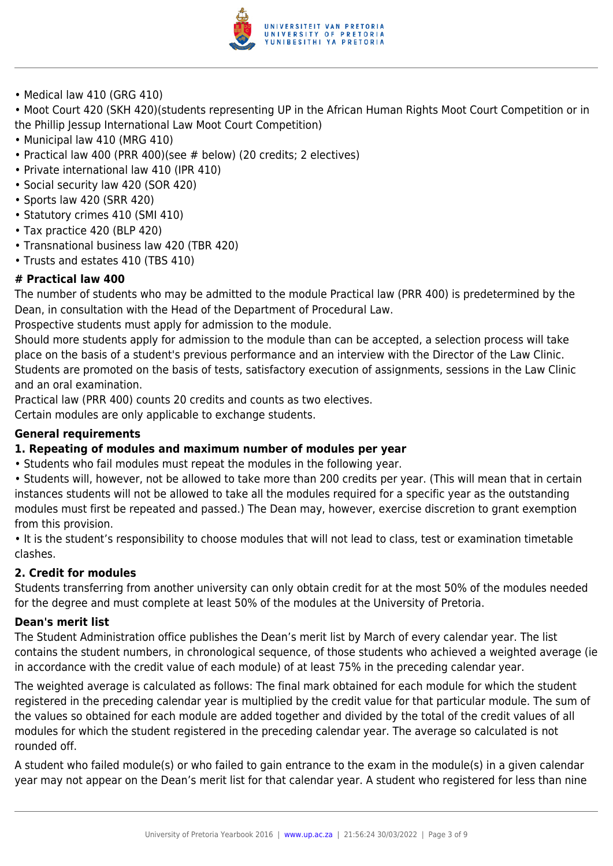

• Medical law 410 (GRG 410)

• Moot Court 420 (SKH 420)(students representing UP in the African Human Rights Moot Court Competition or in the Phillip Jessup International Law Moot Court Competition)

- Municipal law 410 (MRG 410)
- Practical law 400 (PRR 400)(see # below) (20 credits; 2 electives)
- Private international law 410 (IPR 410)
- Social security law 420 (SOR 420)
- Sports law 420 (SRR 420)
- Statutory crimes 410 (SMI 410)
- Tax practice 420 (BLP 420)
- Transnational business law 420 (TBR 420)
- Trusts and estates 410 (TBS 410)

#### **# Practical law 400**

The number of students who may be admitted to the module Practical law (PRR 400) is predetermined by the Dean, in consultation with the Head of the Department of Procedural Law.

Prospective students must apply for admission to the module.

Should more students apply for admission to the module than can be accepted, a selection process will take place on the basis of a student's previous performance and an interview with the Director of the Law Clinic. Students are promoted on the basis of tests, satisfactory execution of assignments, sessions in the Law Clinic and an oral examination.

Practical law (PRR 400) counts 20 credits and counts as two electives.

Certain modules are only applicable to exchange students.

#### **General requirements**

#### **1. Repeating of modules and maximum number of modules per year**

• Students who fail modules must repeat the modules in the following year.

• Students will, however, not be allowed to take more than 200 credits per year. (This will mean that in certain instances students will not be allowed to take all the modules required for a specific year as the outstanding modules must first be repeated and passed.) The Dean may, however, exercise discretion to grant exemption from this provision.

• It is the student's responsibility to choose modules that will not lead to class, test or examination timetable clashes.

#### **2. Credit for modules**

Students transferring from another university can only obtain credit for at the most 50% of the modules needed for the degree and must complete at least 50% of the modules at the University of Pretoria.

#### **Dean's merit list**

The Student Administration office publishes the Dean's merit list by March of every calendar year. The list contains the student numbers, in chronological sequence, of those students who achieved a weighted average (ie in accordance with the credit value of each module) of at least 75% in the preceding calendar year.

The weighted average is calculated as follows: The final mark obtained for each module for which the student registered in the preceding calendar year is multiplied by the credit value for that particular module. The sum of the values so obtained for each module are added together and divided by the total of the credit values of all modules for which the student registered in the preceding calendar year. The average so calculated is not rounded off.

A student who failed module(s) or who failed to gain entrance to the exam in the module(s) in a given calendar year may not appear on the Dean's merit list for that calendar year. A student who registered for less than nine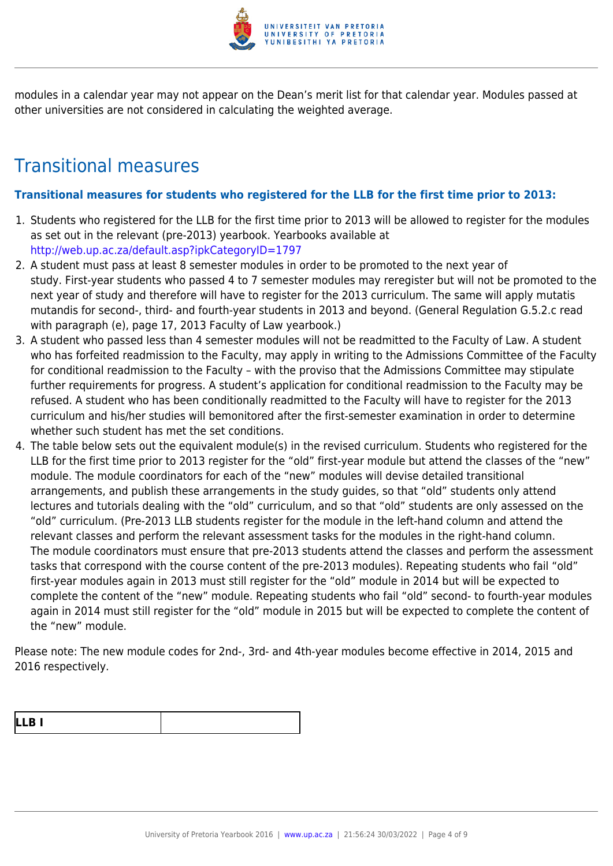

modules in a calendar year may not appear on the Dean's merit list for that calendar year. Modules passed at other universities are not considered in calculating the weighted average.

## Transitional measures

#### **Transitional measures for students who registered for the LLB for the first time prior to 2013:**

- 1. Students who registered for the LLB for the first time prior to 2013 will be allowed to register for the modules as set out in the relevant (pre-2013) yearbook. Yearbooks available at <http://web.up.ac.za/default.asp?ipkCategoryID=1797>
- 2. A student must pass at least 8 semester modules in order to be promoted to the next year of study. First-year students who passed 4 to 7 semester modules may reregister but will not be promoted to the next year of study and therefore will have to register for the 2013 curriculum. The same will apply mutatis mutandis for second-, third- and fourth-year students in 2013 and beyond. (General Regulation G.5.2.c read with paragraph (e), page 17, 2013 Faculty of Law yearbook.)
- 3. A student who passed less than 4 semester modules will not be readmitted to the Faculty of Law. A student who has forfeited readmission to the Faculty, may apply in writing to the Admissions Committee of the Faculty for conditional readmission to the Faculty – with the proviso that the Admissions Committee may stipulate further requirements for progress. A student's application for conditional readmission to the Faculty may be refused. A student who has been conditionally readmitted to the Faculty will have to register for the 2013 curriculum and his/her studies will bemonitored after the first-semester examination in order to determine whether such student has met the set conditions.
- 4. The table below sets out the equivalent module(s) in the revised curriculum. Students who registered for the LLB for the first time prior to 2013 register for the "old" first-year module but attend the classes of the "new" module. The module coordinators for each of the "new" modules will devise detailed transitional arrangements, and publish these arrangements in the study guides, so that "old" students only attend lectures and tutorials dealing with the "old" curriculum, and so that "old" students are only assessed on the "old" curriculum. (Pre-2013 LLB students register for the module in the left-hand column and attend the relevant classes and perform the relevant assessment tasks for the modules in the right-hand column. The module coordinators must ensure that pre-2013 students attend the classes and perform the assessment tasks that correspond with the course content of the pre-2013 modules). Repeating students who fail "old" first-year modules again in 2013 must still register for the "old" module in 2014 but will be expected to complete the content of the "new" module. Repeating students who fail "old" second- to fourth-year modules again in 2014 must still register for the "old" module in 2015 but will be expected to complete the content of the "new" module.

Please note: The new module codes for 2nd-, 3rd- and 4th-year modules become effective in 2014, 2015 and 2016 respectively.

| L<br>. .<br>$\blacksquare$ |  |
|----------------------------|--|
|----------------------------|--|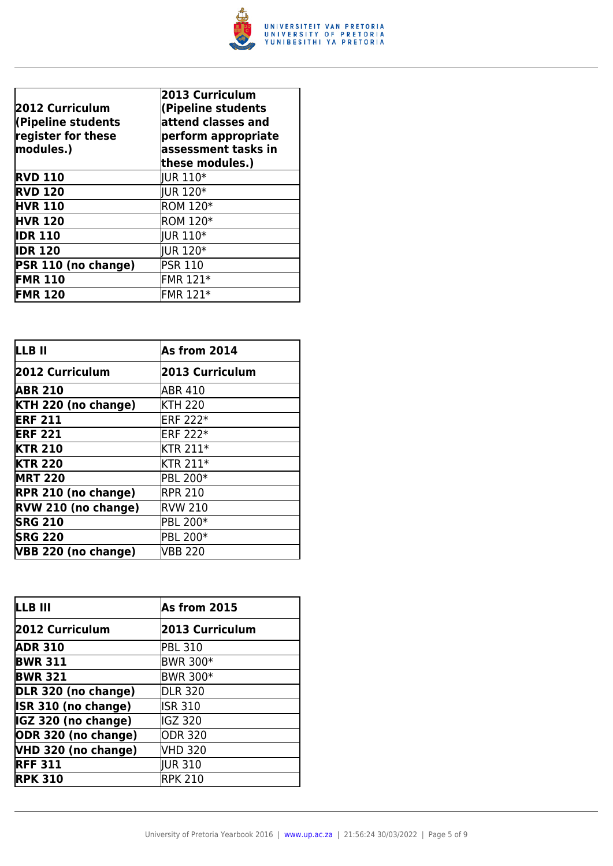

| 2012 Curriculum<br>(Pipeline students<br>register for these<br>modules.) | 2013 Curriculum<br>(Pipeline students<br>attend classes and<br>perform appropriate<br>assessment tasks in<br>these modules.) |
|--------------------------------------------------------------------------|------------------------------------------------------------------------------------------------------------------------------|
| <b>RVD 110</b>                                                           | <b>IUR 110*</b>                                                                                                              |
| <b>RVD 120</b>                                                           | <b>IUR 120*</b>                                                                                                              |
| <b>HVR 110</b>                                                           | <b>ROM 120*</b>                                                                                                              |
| <b>HVR 120</b>                                                           | <b>ROM 120*</b>                                                                                                              |
| <b>IDR 110</b>                                                           | <b>IUR 110*</b>                                                                                                              |
| <b>IDR 120</b>                                                           | <b>IUR 120*</b>                                                                                                              |
| PSR 110 (no change)                                                      | <b>PSR 110</b>                                                                                                               |
| <b>FMR 110</b>                                                           | FMR 121*                                                                                                                     |
| <b>FMR 120</b>                                                           | FMR 121*                                                                                                                     |

| LLB II                     | As from 2014    |
|----------------------------|-----------------|
| 2012 Curriculum            | 2013 Curriculum |
| <b>ABR 210</b>             | ABR 410         |
| KTH 220 (no change)        | <b>KTH 220</b>  |
| <b>ERF 211</b>             | <b>ERF 222*</b> |
| <b>ERF 221</b>             | <b>ERF 222*</b> |
| <b>KTR 210</b>             | <b>KTR 211*</b> |
| <b>KTR 220</b>             | <b>KTR 211*</b> |
| <b>MRT 220</b>             | PBL 200*        |
| <b>RPR 210 (no change)</b> | <b>RPR 210</b>  |
| RVW 210 (no change)        | <b>RVW 210</b>  |
| <b>SRG 210</b>             | PBL 200*        |
| <b>SRG 220</b>             | PBL 200*        |
| VBB 220 (no change)        | <b>VBB 220</b>  |

| LLB III             | As from 2015    |
|---------------------|-----------------|
| 2012 Curriculum     | 2013 Curriculum |
| <b>ADR 310</b>      | <b>PBL 310</b>  |
| <b>BWR 311</b>      | <b>BWR 300*</b> |
| <b>BWR 321</b>      | <b>BWR 300*</b> |
| DLR 320 (no change) | <b>DLR 320</b>  |
| ISR 310 (no change) | <b>ISR 310</b>  |
| IGZ 320 (no change) | IGZ 320         |
| ODR 320 (no change) | ODR 320         |
| VHD 320 (no change) | VHD 320         |
| <b>RFF 311</b>      | <b>IUR 310</b>  |
| <b>RPK 310</b>      | <b>RPK 210</b>  |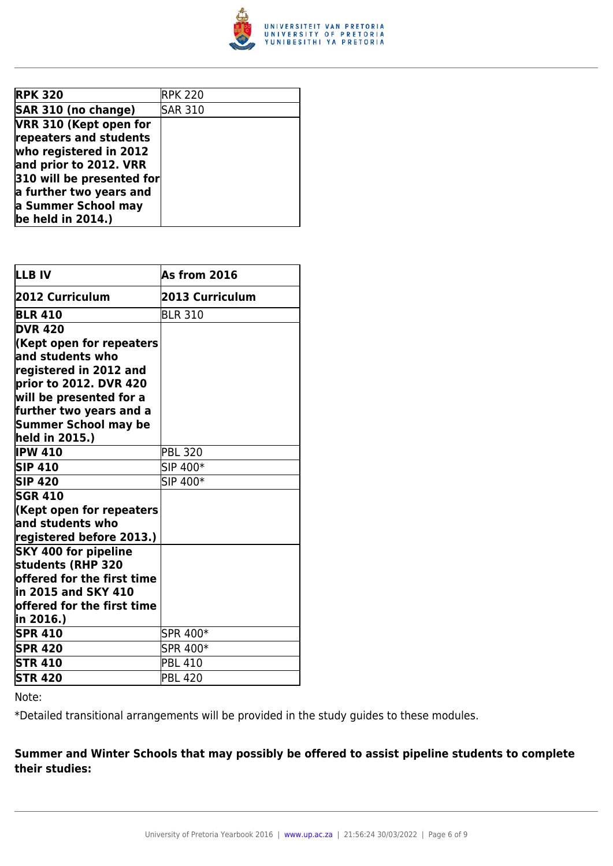

| <b>RPK 320</b>            | <b>RPK 220</b> |
|---------------------------|----------------|
| SAR 310 (no change)       | <b>SAR 310</b> |
| VRR 310 (Kept open for    |                |
| repeaters and students    |                |
| who registered in 2012    |                |
| and prior to 2012. VRR    |                |
| 310 will be presented for |                |
| a further two years and   |                |
| a Summer School may       |                |
| be held in $2014.$ )      |                |

| LLB IV                                           | As from 2016    |
|--------------------------------------------------|-----------------|
| 2012 Curriculum                                  | 2013 Curriculum |
| <b>BLR 410</b>                                   | <b>BLR 310</b>  |
| <b>DVR 420</b>                                   |                 |
| Kept open for repeaters                          |                 |
| and students who                                 |                 |
| registered in 2012 and                           |                 |
| prior to 2012. DVR 420                           |                 |
| will be presented for a                          |                 |
| further two years and a                          |                 |
| Summer School may be                             |                 |
| held in 2015.)                                   |                 |
| <b>IPW 410</b>                                   | <b>PBL 320</b>  |
| <b>SIP 410</b>                                   | SIP 400*        |
| <b>SIP 420</b>                                   | SIP 400*        |
| <b>SGR 410</b>                                   |                 |
| Kept open for repeaters                          |                 |
| $\,$ and students who                            |                 |
| registered before 2013.)                         |                 |
| <b>SKY 400 for pipeline</b>                      |                 |
| students (RHP 320                                |                 |
| $offered for the first time \,$                  |                 |
| in 2015 and SKY 410                              |                 |
| $\operatorname{\sf loffered}$ for the first time |                 |
| in 2016.)                                        |                 |
| <b>SPR 410</b>                                   | SPR 400*        |
| <b>SPR 420</b>                                   | SPR 400*        |
| <b>STR 410</b>                                   | <b>PBL 410</b>  |
| <b>STR 420</b>                                   | <b>PBL 420</b>  |

Note:

\*Detailed transitional arrangements will be provided in the study guides to these modules.

#### **Summer and Winter Schools that may possibly be offered to assist pipeline students to complete their studies:**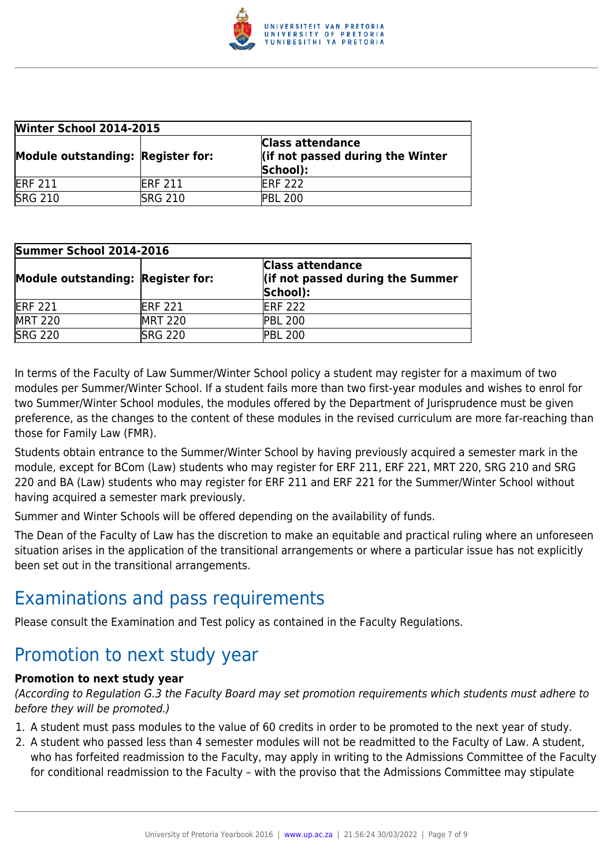

| <b>Winter School 2014-2015</b>    |                 |                                                                         |
|-----------------------------------|-----------------|-------------------------------------------------------------------------|
| Module outstanding: Register for: |                 | <b>Class attendance</b><br>lif not passed during the Winter<br>School): |
| <b>ERF 211</b>                    | <b>IERF 211</b> | <b>IERF 222</b>                                                         |
| <b>SRG 210</b>                    | <b>SRG 210</b>  | <b>PBL 200</b>                                                          |

| Summer School 2014-2016           |                |                                                                         |  |
|-----------------------------------|----------------|-------------------------------------------------------------------------|--|
| Module outstanding: Register for: |                | <b>Class attendance</b><br>lif not passed during the Summer<br>School): |  |
| <b>ERF 221</b>                    | <b>ERF 221</b> | <b>IERF 222</b>                                                         |  |
| <b>MRT 220</b>                    | <b>MRT 220</b> | <b>PBL 200</b>                                                          |  |
| <b>SRG 220</b>                    | <b>SRG 220</b> | <b>PBL 200</b>                                                          |  |

In terms of the Faculty of Law Summer/Winter School policy a student may register for a maximum of two modules per Summer/Winter School. If a student fails more than two first-year modules and wishes to enrol for two Summer/Winter School modules, the modules offered by the Department of Jurisprudence must be given preference, as the changes to the content of these modules in the revised curriculum are more far-reaching than those for Family Law (FMR).

Students obtain entrance to the Summer/Winter School by having previously acquired a semester mark in the module, except for BCom (Law) students who may register for ERF 211, ERF 221, MRT 220, SRG 210 and SRG 220 and BA (Law) students who may register for ERF 211 and ERF 221 for the Summer/Winter School without having acquired a semester mark previously.

Summer and Winter Schools will be offered depending on the availability of funds.

The Dean of the Faculty of Law has the discretion to make an equitable and practical ruling where an unforeseen situation arises in the application of the transitional arrangements or where a particular issue has not explicitly been set out in the transitional arrangements.

### Examinations and pass requirements

Please consult the Examination and Test policy as contained in the Faculty Regulations.

### Promotion to next study year

#### **Promotion to next study year**

(According to Regulation G.3 the Faculty Board may set promotion requirements which students must adhere to before they will be promoted.)

- 1. A student must pass modules to the value of 60 credits in order to be promoted to the next year of study.
- 2. A student who passed less than 4 semester modules will not be readmitted to the Faculty of Law. A student, who has forfeited readmission to the Faculty, may apply in writing to the Admissions Committee of the Faculty for conditional readmission to the Faculty – with the proviso that the Admissions Committee may stipulate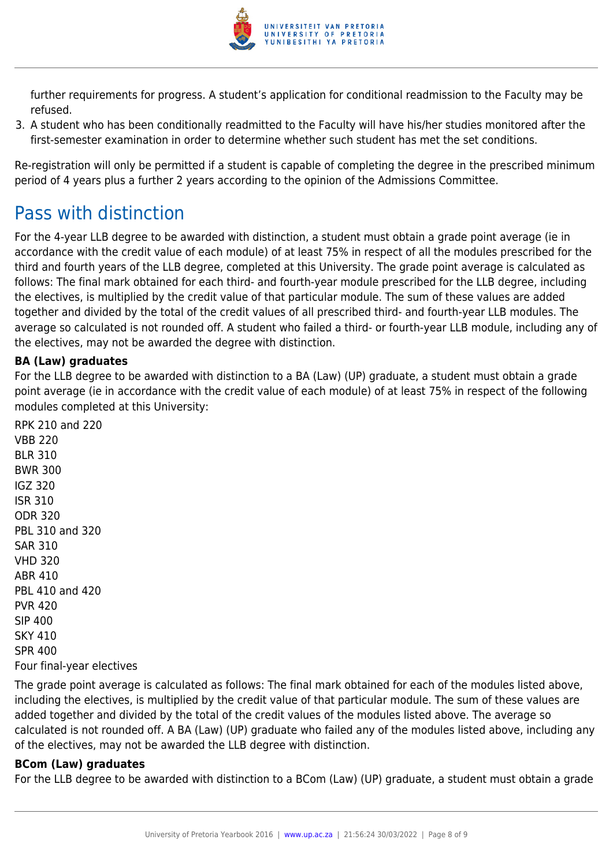

further requirements for progress. A student's application for conditional readmission to the Faculty may be refused.

3. A student who has been conditionally readmitted to the Faculty will have his/her studies monitored after the first-semester examination in order to determine whether such student has met the set conditions.

Re-registration will only be permitted if a student is capable of completing the degree in the prescribed minimum period of 4 years plus a further 2 years according to the opinion of the Admissions Committee.

## Pass with distinction

For the 4-year LLB degree to be awarded with distinction, a student must obtain a grade point average (ie in accordance with the credit value of each module) of at least 75% in respect of all the modules prescribed for the third and fourth years of the LLB degree, completed at this University. The grade point average is calculated as follows: The final mark obtained for each third- and fourth-year module prescribed for the LLB degree, including the electives, is multiplied by the credit value of that particular module. The sum of these values are added together and divided by the total of the credit values of all prescribed third- and fourth-year LLB modules. The average so calculated is not rounded off. A student who failed a third- or fourth-year LLB module, including any of the electives, may not be awarded the degree with distinction.

#### **BA (Law) graduates**

For the LLB degree to be awarded with distinction to a BA (Law) (UP) graduate, a student must obtain a grade point average (ie in accordance with the credit value of each module) of at least 75% in respect of the following modules completed at this University:

RPK 210 and 220 VBB 220 BLR 310 BWR 300 IGZ 320 ISR 310 ODR 320 PBL 310 and 320 SAR 310 VHD 320 ABR 410 PBL 410 and 420 PVR 420 SIP 400 SKY 410 SPR 400 Four final-year electives

The grade point average is calculated as follows: The final mark obtained for each of the modules listed above, including the electives, is multiplied by the credit value of that particular module. The sum of these values are added together and divided by the total of the credit values of the modules listed above. The average so calculated is not rounded off. A BA (Law) (UP) graduate who failed any of the modules listed above, including any of the electives, may not be awarded the LLB degree with distinction.

#### **BCom (Law) graduates**

For the LLB degree to be awarded with distinction to a BCom (Law) (UP) graduate, a student must obtain a grade